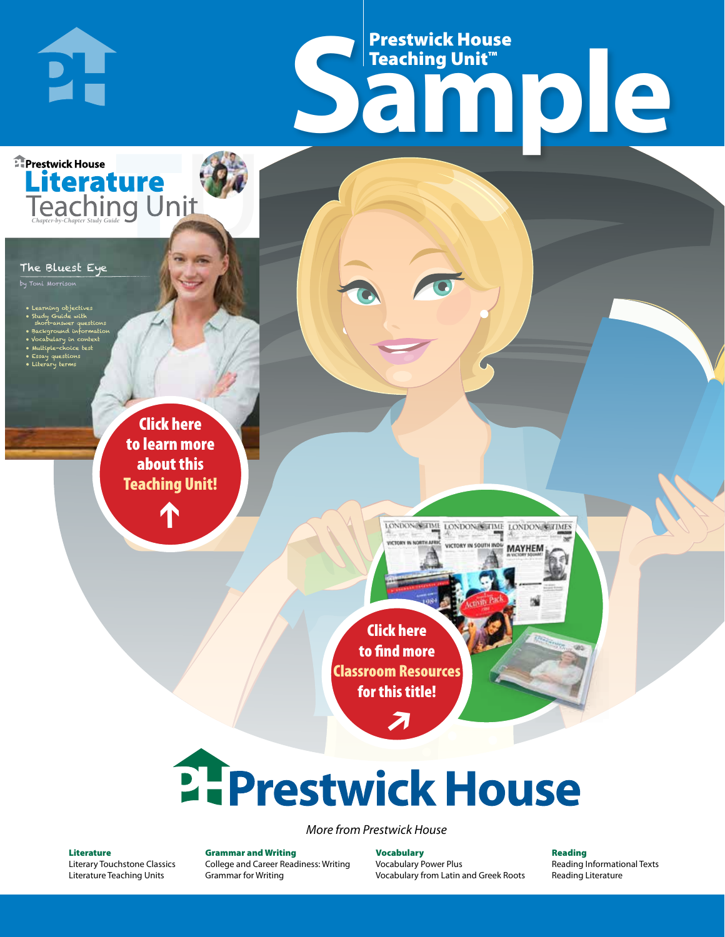# Frestwick House<br>
Sample Prestwick House Teaching Unit™

LONDON-SCITME LONDON/SCITME LONDON/SCITMES USERVAN IN COID

**MAYHEM** 

**Prestwick House** Literature<br>Teaching Unit

#### The Bluest Eye

**DH** 

.<br>'oni Morriso

- Learning objectives
- Study Guide with
- short-answer questions • Background information
- Vocabulary in context

CHARLES DICKENS

- Multiple-choice test • Essay questions
- **A Tale of Two Cities** • Literary terms

r e o r d e r n o . x x x x x x Click here to learn more about this [Teaching Unit!](https://www.prestwickhouse.com/pdf/id-201019/Bluest_Eye_The_-_Downloadable_Teaching_Unit)

 $\mathbf{T}$ 

1

Click here to find more [Classroom Resources](http://teaching-english.prestwickhouse.com/search#w=bluest%20eye)  for this title!

 $\overline{\boldsymbol{\lambda}}$ 

# 2. Prestwick House

#### *More from Prestwick House*

#### Literature

[Literary Touchstone Classics](https://www.prestwickhouse.com/literary-touchstone-classics) [Literature Teaching Units](https://www.prestwickhouse.com/teaching-units)

Grammar and Writing [College and Career Readiness: Writing](https://www.prestwickhouse.com/college-and-career-readiness-writing) [Grammar for Writing](https://www.prestwickhouse.com/book/id-302639/Grammar_for_Writing_-_30_Books_and_Teachers_Edition)

**Vocabulary** [Vocabulary Power Plus](https://www.prestwickhouse.com/vocabulary-power-plus-for-college-and-career-readiness) [Vocabulary from Latin and Greek Roots](https://www.prestwickhouse.com/vocabulary-from-latin-and-greek-roots) Reading

[Reading Informational Texts](https://www.prestwickhouse.com/reading-informational-texts) [Reading Literature](https://www.prestwickhouse.com/reading-literature)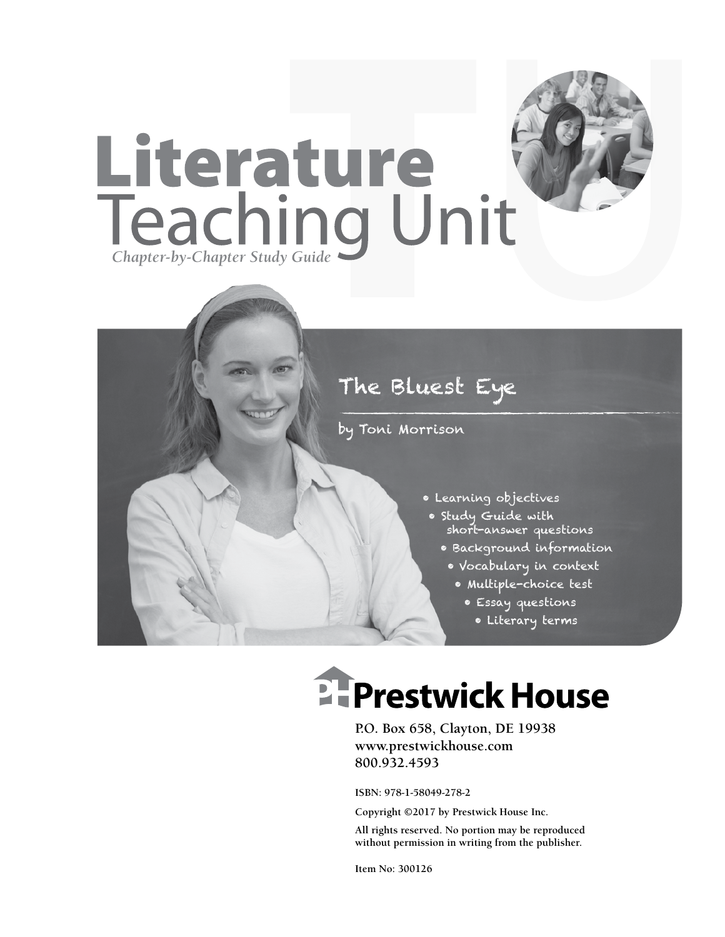

## The Bluest Eye

by Toni Morrison

- Learning objectives
- Study Guide with short-answer questions
	- Background information
	- Vocabulary in context
		- Multiple-choice test
			- Essay questions
				- Literary terms

## **EFPrestwick House**

**P.O. Box 658, Clayton, DE 19938 www.prestwickhouse.com 800.932.4593**

**ISBN: 978-1-58049-278-2**

**Copyright ©2017 by Prestwick House Inc.**

**All rights reserved. No portion may be reproduced without permission in writing from the publisher.**

**Item No: 300126**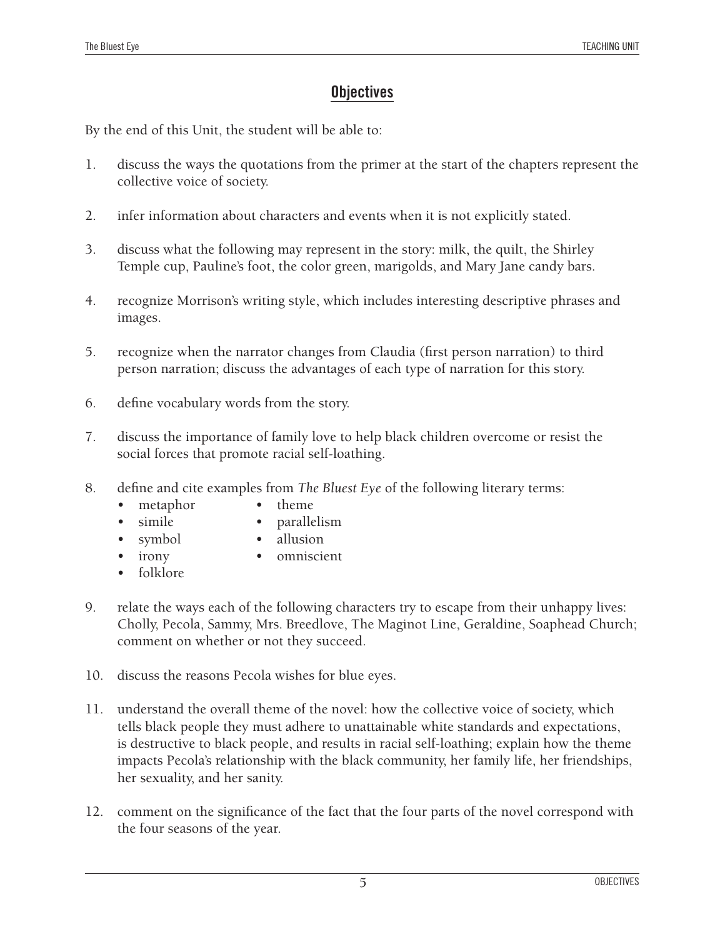#### **Objectives**

By the end of this Unit, the student will be able to:

- 1. discuss the ways the quotations from the primer at the start of the chapters represent the collective voice of society.
- 2. infer information about characters and events when it is not explicitly stated.
- 3. discuss what the following may represent in the story: milk, the quilt, the Shirley Temple cup, Pauline's foot, the color green, marigolds, and Mary Jane candy bars.
- 4. recognize Morrison's writing style, which includes interesting descriptive phrases and images.
- 5. recognize when the narrator changes from Claudia (first person narration) to third person narration; discuss the advantages of each type of narration for this story.
- 6. define vocabulary words from the story.
- 7. discuss the importance of family love to help black children overcome or resist the social forces that promote racial self-loathing.
- 8. define and cite examples from *The Bluest Eye* of the following literary terms:
	- metaphor theme
		- simile parallelism
	- symbol · allusion
		- • irony • omniscient
	- folklore
- 9. relate the ways each of the following characters try to escape from their unhappy lives: Cholly, Pecola, Sammy, Mrs. Breedlove, The Maginot Line, Geraldine, Soaphead Church; comment on whether or not they succeed.
- 10. discuss the reasons Pecola wishes for blue eyes.
- 11. understand the overall theme of the novel: how the collective voice of society, which tells black people they must adhere to unattainable white standards and expectations, is destructive to black people, and results in racial self-loathing; explain how the theme impacts Pecola's relationship with the black community, her family life, her friendships, her sexuality, and her sanity.
- 12. comment on the significance of the fact that the four parts of the novel correspond with the four seasons of the year.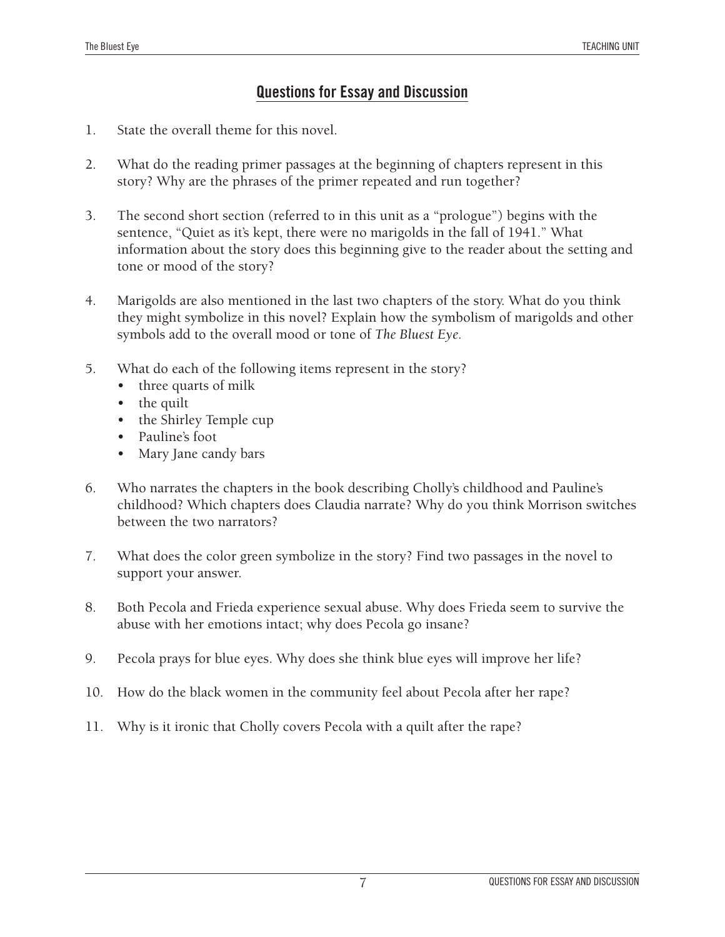#### **Questions for Essay and Discussion**

- 1. State the overall theme for this novel.
- 2. What do the reading primer passages at the beginning of chapters represent in this story? Why are the phrases of the primer repeated and run together?
- 3. The second short section (referred to in this unit as a "prologue") begins with the sentence, "Quiet as it's kept, there were no marigolds in the fall of 1941." What information about the story does this beginning give to the reader about the setting and tone or mood of the story?
- 4. Marigolds are also mentioned in the last two chapters of the story. What do you think they might symbolize in this novel? Explain how the symbolism of marigolds and other symbols add to the overall mood or tone of *The Bluest Eye.*
- 5. What do each of the following items represent in the story?
	- three quarts of milk
	- the quilt
	- the Shirley Temple cup
	- Pauline's foot
	- Mary Jane candy bars
- 6. Who narrates the chapters in the book describing Cholly's childhood and Pauline's childhood? Which chapters does Claudia narrate? Why do you think Morrison switches between the two narrators?
- 7. What does the color green symbolize in the story? Find two passages in the novel to support your answer.
- 8. Both Pecola and Frieda experience sexual abuse. Why does Frieda seem to survive the abuse with her emotions intact; why does Pecola go insane?
- 9. Pecola prays for blue eyes. Why does she think blue eyes will improve her life?
- 10. How do the black women in the community feel about Pecola after her rape?
- 11. Why is it ironic that Cholly covers Pecola with a quilt after the rape?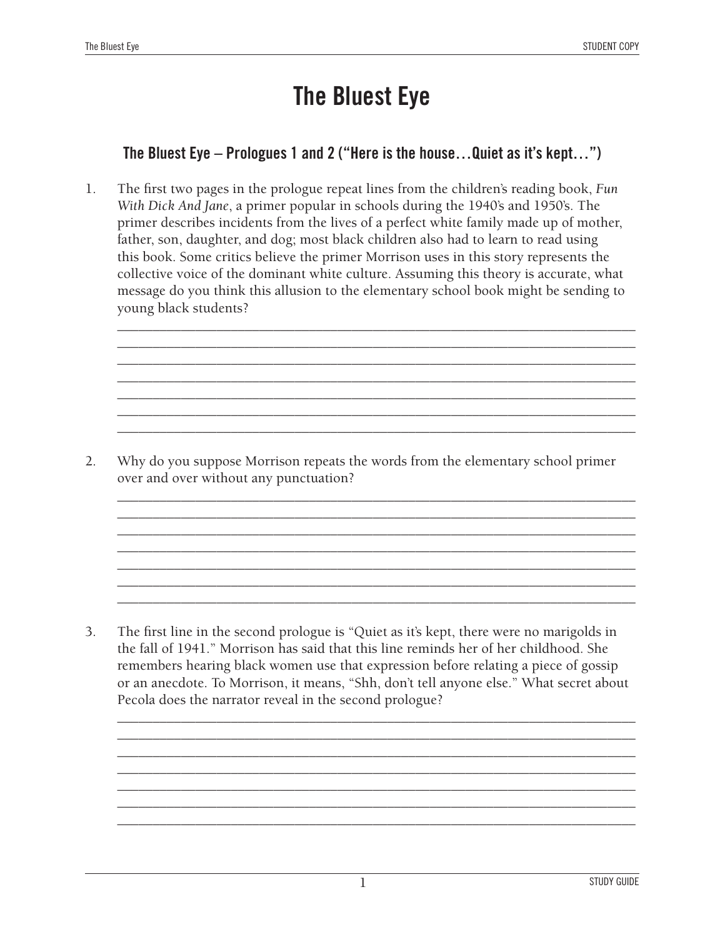### **The Bluest Eye**

#### **The Bluest Eye – Prologues 1 and 2 ("Here is the house…Quiet as it's kept…")**

1. The first two pages in the prologue repeat lines from the children's reading book, *Fun With Dick And Jane*, a primer popular in schools during the 1940's and 1950's. The primer describes incidents from the lives of a perfect white family made up of mother, father, son, daughter, and dog; most black children also had to learn to read using this book. Some critics believe the primer Morrison uses in this story represents the collective voice of the dominant white culture. Assuming this theory is accurate, what message do you think this allusion to the elementary school book might be sending to young black students?

\_\_\_\_\_\_\_\_\_\_\_\_\_\_\_\_\_\_\_\_\_\_\_\_\_\_\_\_\_\_\_\_\_\_\_\_\_\_\_\_\_\_\_\_\_\_\_\_\_\_\_\_\_\_\_\_\_\_\_\_\_\_\_\_\_\_\_\_\_\_\_\_\_ \_\_\_\_\_\_\_\_\_\_\_\_\_\_\_\_\_\_\_\_\_\_\_\_\_\_\_\_\_\_\_\_\_\_\_\_\_\_\_\_\_\_\_\_\_\_\_\_\_\_\_\_\_\_\_\_\_\_\_\_\_\_\_\_\_\_\_\_\_\_\_\_\_ \_\_\_\_\_\_\_\_\_\_\_\_\_\_\_\_\_\_\_\_\_\_\_\_\_\_\_\_\_\_\_\_\_\_\_\_\_\_\_\_\_\_\_\_\_\_\_\_\_\_\_\_\_\_\_\_\_\_\_\_\_\_\_\_\_\_\_\_\_\_\_\_\_ \_\_\_\_\_\_\_\_\_\_\_\_\_\_\_\_\_\_\_\_\_\_\_\_\_\_\_\_\_\_\_\_\_\_\_\_\_\_\_\_\_\_\_\_\_\_\_\_\_\_\_\_\_\_\_\_\_\_\_\_\_\_\_\_\_\_\_\_\_\_\_\_\_ \_\_\_\_\_\_\_\_\_\_\_\_\_\_\_\_\_\_\_\_\_\_\_\_\_\_\_\_\_\_\_\_\_\_\_\_\_\_\_\_\_\_\_\_\_\_\_\_\_\_\_\_\_\_\_\_\_\_\_\_\_\_\_\_\_\_\_\_\_\_\_\_\_ \_\_\_\_\_\_\_\_\_\_\_\_\_\_\_\_\_\_\_\_\_\_\_\_\_\_\_\_\_\_\_\_\_\_\_\_\_\_\_\_\_\_\_\_\_\_\_\_\_\_\_\_\_\_\_\_\_\_\_\_\_\_\_\_\_\_\_\_\_\_\_\_\_ \_\_\_\_\_\_\_\_\_\_\_\_\_\_\_\_\_\_\_\_\_\_\_\_\_\_\_\_\_\_\_\_\_\_\_\_\_\_\_\_\_\_\_\_\_\_\_\_\_\_\_\_\_\_\_\_\_\_\_\_\_\_\_\_\_\_\_\_\_\_\_\_\_

2. Why do you suppose Morrison repeats the words from the elementary school primer over and over without any punctuation?

\_\_\_\_\_\_\_\_\_\_\_\_\_\_\_\_\_\_\_\_\_\_\_\_\_\_\_\_\_\_\_\_\_\_\_\_\_\_\_\_\_\_\_\_\_\_\_\_\_\_\_\_\_\_\_\_\_\_\_\_\_\_\_\_\_\_\_\_\_\_\_\_\_ \_\_\_\_\_\_\_\_\_\_\_\_\_\_\_\_\_\_\_\_\_\_\_\_\_\_\_\_\_\_\_\_\_\_\_\_\_\_\_\_\_\_\_\_\_\_\_\_\_\_\_\_\_\_\_\_\_\_\_\_\_\_\_\_\_\_\_\_\_\_\_\_\_ \_\_\_\_\_\_\_\_\_\_\_\_\_\_\_\_\_\_\_\_\_\_\_\_\_\_\_\_\_\_\_\_\_\_\_\_\_\_\_\_\_\_\_\_\_\_\_\_\_\_\_\_\_\_\_\_\_\_\_\_\_\_\_\_\_\_\_\_\_\_\_\_\_ \_\_\_\_\_\_\_\_\_\_\_\_\_\_\_\_\_\_\_\_\_\_\_\_\_\_\_\_\_\_\_\_\_\_\_\_\_\_\_\_\_\_\_\_\_\_\_\_\_\_\_\_\_\_\_\_\_\_\_\_\_\_\_\_\_\_\_\_\_\_\_\_\_ \_\_\_\_\_\_\_\_\_\_\_\_\_\_\_\_\_\_\_\_\_\_\_\_\_\_\_\_\_\_\_\_\_\_\_\_\_\_\_\_\_\_\_\_\_\_\_\_\_\_\_\_\_\_\_\_\_\_\_\_\_\_\_\_\_\_\_\_\_\_\_\_\_ \_\_\_\_\_\_\_\_\_\_\_\_\_\_\_\_\_\_\_\_\_\_\_\_\_\_\_\_\_\_\_\_\_\_\_\_\_\_\_\_\_\_\_\_\_\_\_\_\_\_\_\_\_\_\_\_\_\_\_\_\_\_\_\_\_\_\_\_\_\_\_\_\_ \_\_\_\_\_\_\_\_\_\_\_\_\_\_\_\_\_\_\_\_\_\_\_\_\_\_\_\_\_\_\_\_\_\_\_\_\_\_\_\_\_\_\_\_\_\_\_\_\_\_\_\_\_\_\_\_\_\_\_\_\_\_\_\_\_\_\_\_\_\_\_\_\_

3. The first line in the second prologue is "Quiet as it's kept, there were no marigolds in the fall of 1941." Morrison has said that this line reminds her of her childhood. She remembers hearing black women use that expression before relating a piece of gossip or an anecdote. To Morrison, it means, "Shh, don't tell anyone else." What secret about Pecola does the narrator reveal in the second prologue?

\_\_\_\_\_\_\_\_\_\_\_\_\_\_\_\_\_\_\_\_\_\_\_\_\_\_\_\_\_\_\_\_\_\_\_\_\_\_\_\_\_\_\_\_\_\_\_\_\_\_\_\_\_\_\_\_\_\_\_\_\_\_\_\_\_\_\_\_\_\_\_\_\_ \_\_\_\_\_\_\_\_\_\_\_\_\_\_\_\_\_\_\_\_\_\_\_\_\_\_\_\_\_\_\_\_\_\_\_\_\_\_\_\_\_\_\_\_\_\_\_\_\_\_\_\_\_\_\_\_\_\_\_\_\_\_\_\_\_\_\_\_\_\_\_\_\_ \_\_\_\_\_\_\_\_\_\_\_\_\_\_\_\_\_\_\_\_\_\_\_\_\_\_\_\_\_\_\_\_\_\_\_\_\_\_\_\_\_\_\_\_\_\_\_\_\_\_\_\_\_\_\_\_\_\_\_\_\_\_\_\_\_\_\_\_\_\_\_\_\_ \_\_\_\_\_\_\_\_\_\_\_\_\_\_\_\_\_\_\_\_\_\_\_\_\_\_\_\_\_\_\_\_\_\_\_\_\_\_\_\_\_\_\_\_\_\_\_\_\_\_\_\_\_\_\_\_\_\_\_\_\_\_\_\_\_\_\_\_\_\_\_\_\_ \_\_\_\_\_\_\_\_\_\_\_\_\_\_\_\_\_\_\_\_\_\_\_\_\_\_\_\_\_\_\_\_\_\_\_\_\_\_\_\_\_\_\_\_\_\_\_\_\_\_\_\_\_\_\_\_\_\_\_\_\_\_\_\_\_\_\_\_\_\_\_\_\_ \_\_\_\_\_\_\_\_\_\_\_\_\_\_\_\_\_\_\_\_\_\_\_\_\_\_\_\_\_\_\_\_\_\_\_\_\_\_\_\_\_\_\_\_\_\_\_\_\_\_\_\_\_\_\_\_\_\_\_\_\_\_\_\_\_\_\_\_\_\_\_\_\_ \_\_\_\_\_\_\_\_\_\_\_\_\_\_\_\_\_\_\_\_\_\_\_\_\_\_\_\_\_\_\_\_\_\_\_\_\_\_\_\_\_\_\_\_\_\_\_\_\_\_\_\_\_\_\_\_\_\_\_\_\_\_\_\_\_\_\_\_\_\_\_\_\_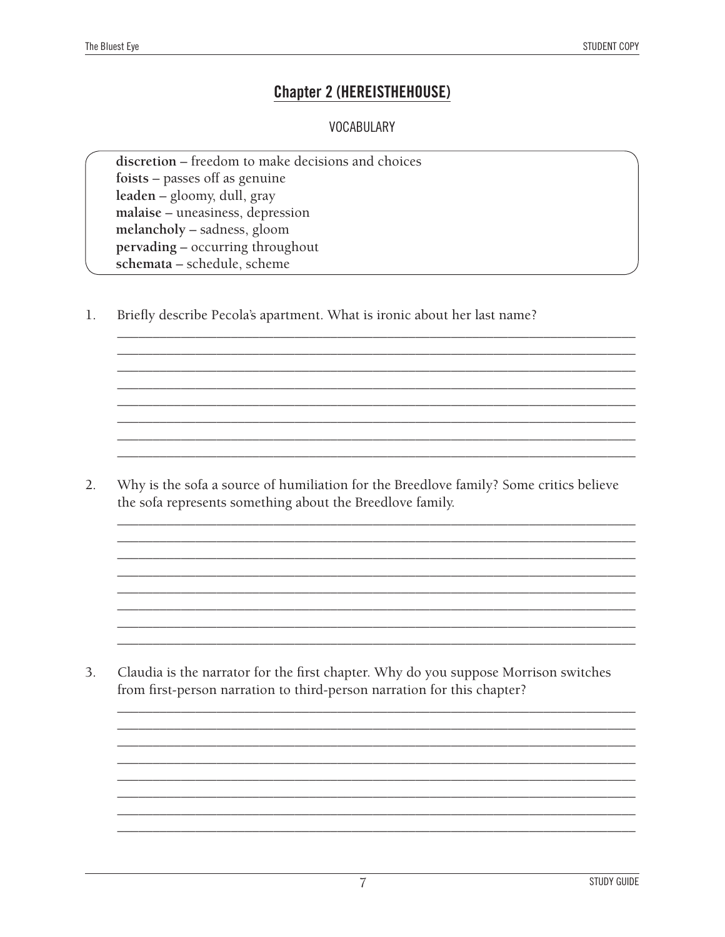#### **Chapter 2 (HEREISTHEHOUSE)**

#### **VOCABULARY**

discretion - freedom to make decisions and choices foists - passes off as genuine leaden – gloomy, dull, gray malaise - uneasiness, depression melancholy - sadness, gloom pervading - occurring throughout schemata - schedule, scheme

 $\mathbf{1}$ . Briefly describe Pecola's apartment. What is ironic about her last name?

 $2.$ Why is the sofa a source of humiliation for the Breedlove family? Some critics believe the sofa represents something about the Breedlove family.

 $3<sub>1</sub>$ Claudia is the narrator for the first chapter. Why do you suppose Morrison switches from first-person narration to third-person narration for this chapter?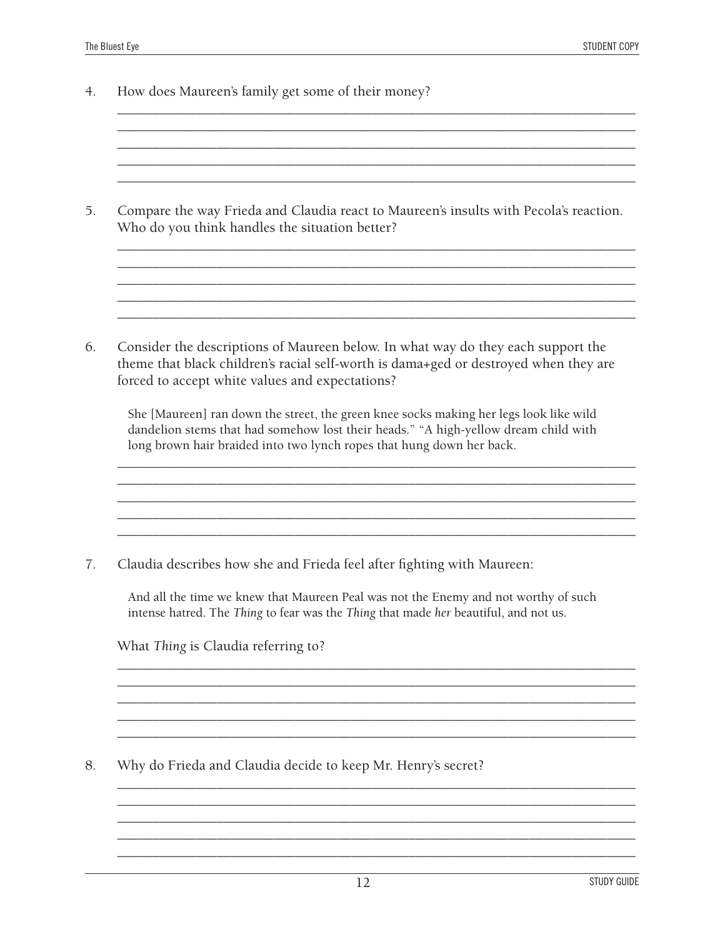4. How does Maureen's family get some of their money?

5. Compare the way Frieda and Claudia react to Maureen's insults with Pecola's reaction. Who do you think handles the situation better?

\_\_\_\_\_\_\_\_\_\_\_\_\_\_\_\_\_\_\_\_\_\_\_\_\_\_\_\_\_\_\_\_\_\_\_\_\_\_\_\_\_\_\_\_\_\_\_\_\_\_\_\_\_\_\_\_\_\_\_\_\_\_\_\_\_\_\_\_\_\_\_\_\_ \_\_\_\_\_\_\_\_\_\_\_\_\_\_\_\_\_\_\_\_\_\_\_\_\_\_\_\_\_\_\_\_\_\_\_\_\_\_\_\_\_\_\_\_\_\_\_\_\_\_\_\_\_\_\_\_\_\_\_\_\_\_\_\_\_\_\_\_\_\_\_\_\_

\_\_\_\_\_\_\_\_\_\_\_\_\_\_\_\_\_\_\_\_\_\_\_\_\_\_\_\_\_\_\_\_\_\_\_\_\_\_\_\_\_\_\_\_\_\_\_\_\_\_\_\_\_\_\_\_\_\_\_\_\_\_\_\_\_\_\_\_\_\_\_\_\_

\_\_\_\_\_\_\_\_\_\_\_\_\_\_\_\_\_\_\_\_\_\_\_\_\_\_\_\_\_\_\_\_\_\_\_\_\_\_\_\_\_\_\_\_\_\_\_\_\_\_\_\_\_\_\_\_\_\_\_\_\_\_\_\_\_\_\_\_\_\_\_\_\_ \_\_\_\_\_\_\_\_\_\_\_\_\_\_\_\_\_\_\_\_\_\_\_\_\_\_\_\_\_\_\_\_\_\_\_\_\_\_\_\_\_\_\_\_\_\_\_\_\_\_\_\_\_\_\_\_\_\_\_\_\_\_\_\_\_\_\_\_\_\_\_\_\_  $\mathcal{L}_\mathcal{L} = \{ \mathcal{L}_\mathcal{L} = \{ \mathcal{L}_\mathcal{L} = \{ \mathcal{L}_\mathcal{L} = \{ \mathcal{L}_\mathcal{L} = \{ \mathcal{L}_\mathcal{L} = \{ \mathcal{L}_\mathcal{L} = \{ \mathcal{L}_\mathcal{L} = \{ \mathcal{L}_\mathcal{L} = \{ \mathcal{L}_\mathcal{L} = \{ \mathcal{L}_\mathcal{L} = \{ \mathcal{L}_\mathcal{L} = \{ \mathcal{L}_\mathcal{L} = \{ \mathcal{L}_\mathcal{L} = \{ \mathcal{L}_\mathcal{$ \_\_\_\_\_\_\_\_\_\_\_\_\_\_\_\_\_\_\_\_\_\_\_\_\_\_\_\_\_\_\_\_\_\_\_\_\_\_\_\_\_\_\_\_\_\_\_\_\_\_\_\_\_\_\_\_\_\_\_\_\_\_\_\_\_\_\_\_\_\_\_\_\_ \_\_\_\_\_\_\_\_\_\_\_\_\_\_\_\_\_\_\_\_\_\_\_\_\_\_\_\_\_\_\_\_\_\_\_\_\_\_\_\_\_\_\_\_\_\_\_\_\_\_\_\_\_\_\_\_\_\_\_\_\_\_\_\_\_\_\_\_\_\_\_\_\_

6. Consider the descriptions of Maureen below. In what way do they each support the theme that black children's racial self-worth is dama+ged or destroyed when they are forced to accept white values and expectations?

She [Maureen] ran down the street, the green knee socks making her legs look like wild dandelion stems that had somehow lost their heads." "A high-yellow dream child with long brown hair braided into two lynch ropes that hung down her back.

\_\_\_\_\_\_\_\_\_\_\_\_\_\_\_\_\_\_\_\_\_\_\_\_\_\_\_\_\_\_\_\_\_\_\_\_\_\_\_\_\_\_\_\_\_\_\_\_\_\_\_\_\_\_\_\_\_\_\_\_\_\_\_\_\_\_\_\_\_\_\_\_\_  $\mathcal{L}_\mathcal{L} = \{ \mathcal{L}_\mathcal{L} = \{ \mathcal{L}_\mathcal{L} = \{ \mathcal{L}_\mathcal{L} = \{ \mathcal{L}_\mathcal{L} = \{ \mathcal{L}_\mathcal{L} = \{ \mathcal{L}_\mathcal{L} = \{ \mathcal{L}_\mathcal{L} = \{ \mathcal{L}_\mathcal{L} = \{ \mathcal{L}_\mathcal{L} = \{ \mathcal{L}_\mathcal{L} = \{ \mathcal{L}_\mathcal{L} = \{ \mathcal{L}_\mathcal{L} = \{ \mathcal{L}_\mathcal{L} = \{ \mathcal{L}_\mathcal{$ \_\_\_\_\_\_\_\_\_\_\_\_\_\_\_\_\_\_\_\_\_\_\_\_\_\_\_\_\_\_\_\_\_\_\_\_\_\_\_\_\_\_\_\_\_\_\_\_\_\_\_\_\_\_\_\_\_\_\_\_\_\_\_\_\_\_\_\_\_\_\_\_\_

\_\_\_\_\_\_\_\_\_\_\_\_\_\_\_\_\_\_\_\_\_\_\_\_\_\_\_\_\_\_\_\_\_\_\_\_\_\_\_\_\_\_\_\_\_\_\_\_\_\_\_\_\_\_\_\_\_\_\_\_\_\_\_\_\_\_\_\_\_\_\_\_\_

7. Claudia describes how she and Frieda feel after fighting with Maureen:

And all the time we knew that Maureen Peal was not the Enemy and not worthy of such intense hatred. The *Thing* to fear was the *Thing* that made *her* beautiful, and not us.

\_\_\_\_\_\_\_\_\_\_\_\_\_\_\_\_\_\_\_\_\_\_\_\_\_\_\_\_\_\_\_\_\_\_\_\_\_\_\_\_\_\_\_\_\_\_\_\_\_\_\_\_\_\_\_\_\_\_\_\_\_\_\_\_\_\_\_\_\_\_\_\_\_ \_\_\_\_\_\_\_\_\_\_\_\_\_\_\_\_\_\_\_\_\_\_\_\_\_\_\_\_\_\_\_\_\_\_\_\_\_\_\_\_\_\_\_\_\_\_\_\_\_\_\_\_\_\_\_\_\_\_\_\_\_\_\_\_\_\_\_\_\_\_\_\_\_ \_\_\_\_\_\_\_\_\_\_\_\_\_\_\_\_\_\_\_\_\_\_\_\_\_\_\_\_\_\_\_\_\_\_\_\_\_\_\_\_\_\_\_\_\_\_\_\_\_\_\_\_\_\_\_\_\_\_\_\_\_\_\_\_\_\_\_\_\_\_\_\_\_ \_\_\_\_\_\_\_\_\_\_\_\_\_\_\_\_\_\_\_\_\_\_\_\_\_\_\_\_\_\_\_\_\_\_\_\_\_\_\_\_\_\_\_\_\_\_\_\_\_\_\_\_\_\_\_\_\_\_\_\_\_\_\_\_\_\_\_\_\_\_\_\_\_

\_\_\_\_\_\_\_\_\_\_\_\_\_\_\_\_\_\_\_\_\_\_\_\_\_\_\_\_\_\_\_\_\_\_\_\_\_\_\_\_\_\_\_\_\_\_\_\_\_\_\_\_\_\_\_\_\_\_\_\_\_\_\_\_\_\_\_\_\_\_\_\_\_ \_\_\_\_\_\_\_\_\_\_\_\_\_\_\_\_\_\_\_\_\_\_\_\_\_\_\_\_\_\_\_\_\_\_\_\_\_\_\_\_\_\_\_\_\_\_\_\_\_\_\_\_\_\_\_\_\_\_\_\_\_\_\_\_\_\_\_\_\_\_\_\_\_ \_\_\_\_\_\_\_\_\_\_\_\_\_\_\_\_\_\_\_\_\_\_\_\_\_\_\_\_\_\_\_\_\_\_\_\_\_\_\_\_\_\_\_\_\_\_\_\_\_\_\_\_\_\_\_\_\_\_\_\_\_\_\_\_\_\_\_\_\_\_\_\_\_ \_\_\_\_\_\_\_\_\_\_\_\_\_\_\_\_\_\_\_\_\_\_\_\_\_\_\_\_\_\_\_\_\_\_\_\_\_\_\_\_\_\_\_\_\_\_\_\_\_\_\_\_\_\_\_\_\_\_\_\_\_\_\_\_\_\_\_\_\_\_\_\_\_ \_\_\_\_\_\_\_\_\_\_\_\_\_\_\_\_\_\_\_\_\_\_\_\_\_\_\_\_\_\_\_\_\_\_\_\_\_\_\_\_\_\_\_\_\_\_\_\_\_\_\_\_\_\_\_\_\_\_\_\_\_\_\_\_\_\_\_\_\_\_\_\_\_

What *Thing* is Claudia referring to?

8. Why do Frieda and Claudia decide to keep Mr. Henry's secret?